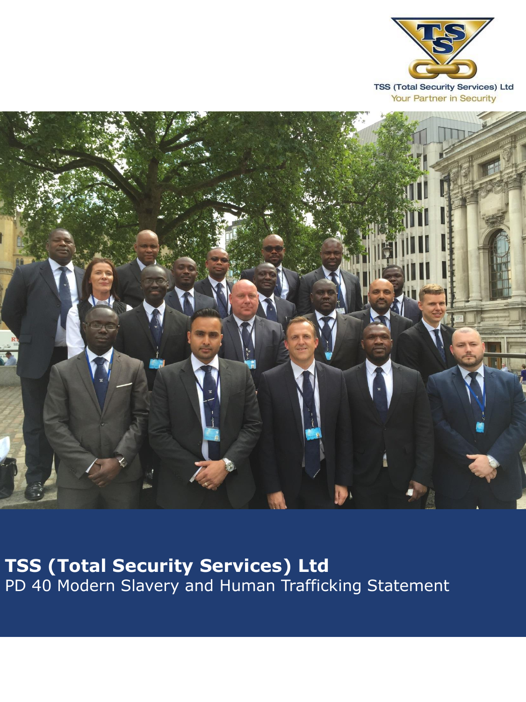

Your Partner in Security



**TSS (Total Security Services) Ltd** PD 40 Modern Slavery and Human Trafficking Statement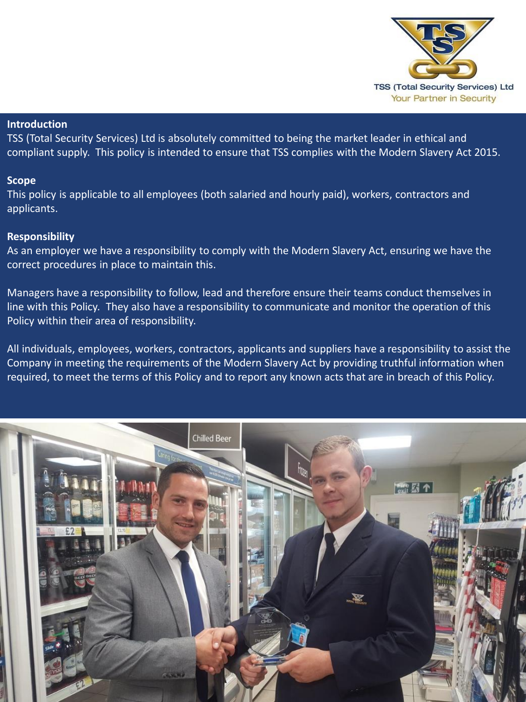

# **Introduction**

TSS (Total Security Services) Ltd is absolutely committed to being the market leader in ethical and compliant supply. This policy is intended to ensure that TSS complies with the Modern Slavery Act 2015.

# **Scope**

This policy is applicable to all employees (both salaried and hourly paid), workers, contractors and applicants.

# **Responsibility**

As an employer we have a responsibility to comply with the Modern Slavery Act, ensuring we have the correct procedures in place to maintain this.

Managers have a responsibility to follow, lead and therefore ensure their teams conduct themselves in line with this Policy. They also have a responsibility to communicate and monitor the operation of this Policy within their area of responsibility.

All individuals, employees, workers, contractors, applicants and suppliers have a responsibility to assist the Company in meeting the requirements of the Modern Slavery Act by providing truthful information when required, to meet the terms of this Policy and to report any known acts that are in breach of this Policy.

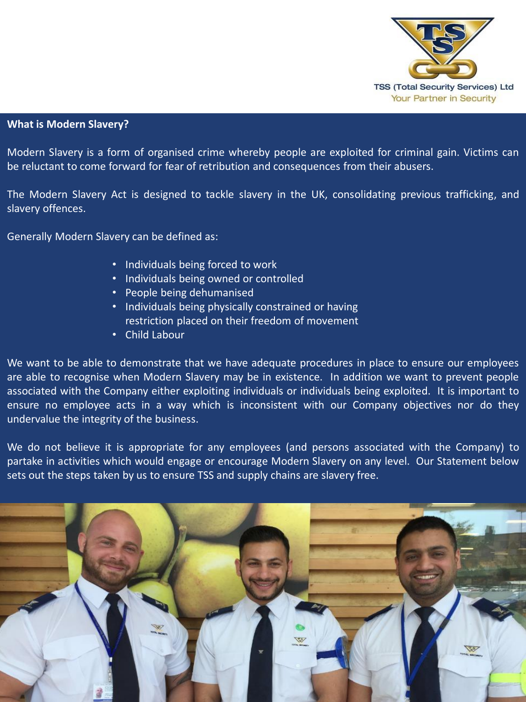

## **What is Modern Slavery?**

Modern Slavery is a form of organised crime whereby people are exploited for criminal gain. Victims can be reluctant to come forward for fear of retribution and consequences from their abusers.

The Modern Slavery Act is designed to tackle slavery in the UK, consolidating previous trafficking, and slavery offences.

Generally Modern Slavery can be defined as:

- Individuals being forced to work
- Individuals being owned or controlled
- People being dehumanised
- Individuals being physically constrained or having restriction placed on their freedom of movement
- Child Labour

We want to be able to demonstrate that we have adequate procedures in place to ensure our employees are able to recognise when Modern Slavery may be in existence. In addition we want to prevent people associated with the Company either exploiting individuals or individuals being exploited. It is important to ensure no employee acts in a way which is inconsistent with our Company objectives nor do they undervalue the integrity of the business.

We do not believe it is appropriate for any employees (and persons associated with the Company) to partake in activities which would engage or encourage Modern Slavery on any level. Our Statement below sets out the steps taken by us to ensure TSS and supply chains are slavery free.

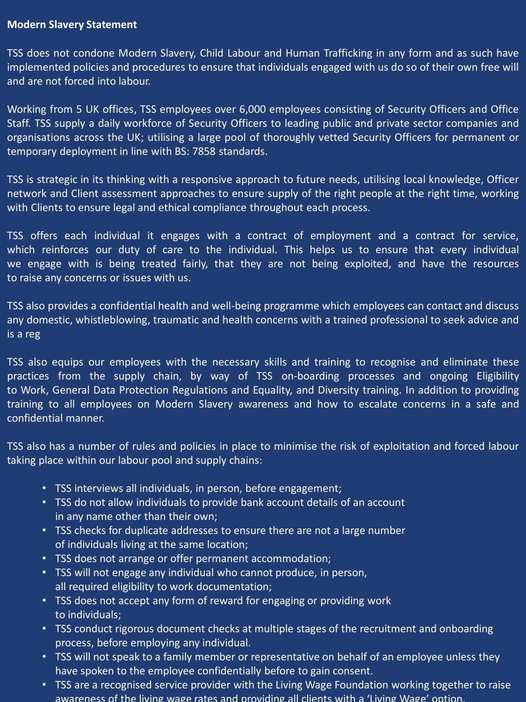## **Modern Slavery Statement**

TSS does not condone Modern Slavery, Child Labour and Human Trafficking in any form and as such have implemented policies and procedures to ensure that individuals engaged with us do so of their own free will and are not forced into labour.

Working from 5 UK offices, TSS employees over 6,000 employees consisting of Security Officers and Office Staff. TSS supply a daily workforce of Security Officers to leading public and private sector companies and organisations across the UK; utilising a large pool of thoroughly vetted Security Officers for permanent or temporary deployment in line with BS: 7858 standards.

TSS is strategic in its thinking with a responsive approach to future needs, utilising local knowledge, Officer network and Client assessment approaches to ensure supply of the right people at the right time, working with Clients to ensure legal and ethical compliance throughout each process.

TSS offers each individual it engages with a contract of employment and a contract for service, which reinforces our duty of care to the individual. This helps us to ensure that every individual we engage with is being treated fairly, that they are not being exploited, and have the resources to raise any concerns or issues with us.

TSS also provides a confidential health and well-being programme which employees can contact and discuss any domestic, whistleblowing, traumatic and health concerns with a trained professional to seek advice and is a reg

TSS also equips our employees with the necessary skills and training to recognise and eliminate these practices from the supply chain, by way of TSS on-boarding processes and ongoing Eligibility to Work, General Data Protection Regulations and Equality, and Diversity training. In addition to providing training to all employees on Modern Slavery awareness and how to escalate concerns in a safe and confidential manner.

TSS also has a number of rules and policies in place to minimise the risk of exploitation and forced labour taking place within our labour pool and supply chains:

- TSS interviews all individuals, in person, before engagement;
- TSS do not allow individuals to provide bank account details of an account in any name other than their own;
- TSS checks for duplicate addresses to ensure there are not a large number of individuals living at the same location;
- TSS does not arrange or offer permanent accommodation;
- TSS will not engage any individual who cannot produce, in person, all required eligibility to work documentation;
- TSS does not accept any form of reward for engaging or providing work to individuals;
- TSS conduct rigorous document checks at multiple stages of the recruitment and onboarding process, before employing any individual.
- TSS will not speak to a family member or representative on behalf of an employee unless they have spoken to the employee confidentially before to gain consent.
- TSS are a recognised service provider with the Living Wage Foundation working together to raise awareness of the living wage rates and providing all clients with a 'Living Wage' option.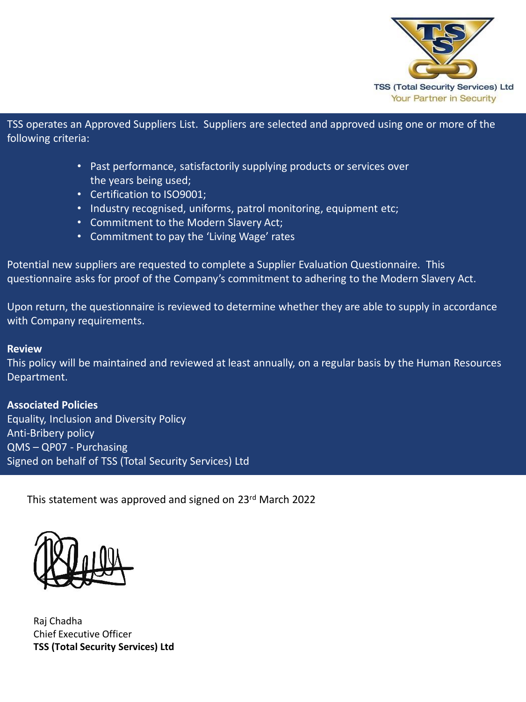

TSS operates an Approved Suppliers List. Suppliers are selected and approved using one or more of the following criteria:

- Past performance, satisfactorily supplying products or services over the years being used;
- Certification to ISO9001;
- Industry recognised, uniforms, patrol monitoring, equipment etc;
- Commitment to the Modern Slavery Act;
- Commitment to pay the 'Living Wage' rates

Potential new suppliers are requested to complete a Supplier Evaluation Questionnaire. This questionnaire asks for proof of the Company's commitment to adhering to the Modern Slavery Act.

Upon return, the questionnaire is reviewed to determine whether they are able to supply in accordance with Company requirements.

#### **Review**

This policy will be maintained and reviewed at least annually, on a regular basis by the Human Resources Department.

## **Associated Policies**

Equality, Inclusion and Diversity Policy Anti-Bribery policy QMS – QP07 - Purchasing Signed on behalf of TSS (Total Security Services) Ltd

This statement was approved and signed on 23rd March 2022



Raj Chadha Chief Executive Officer **TSS (Total Security Services) Ltd**